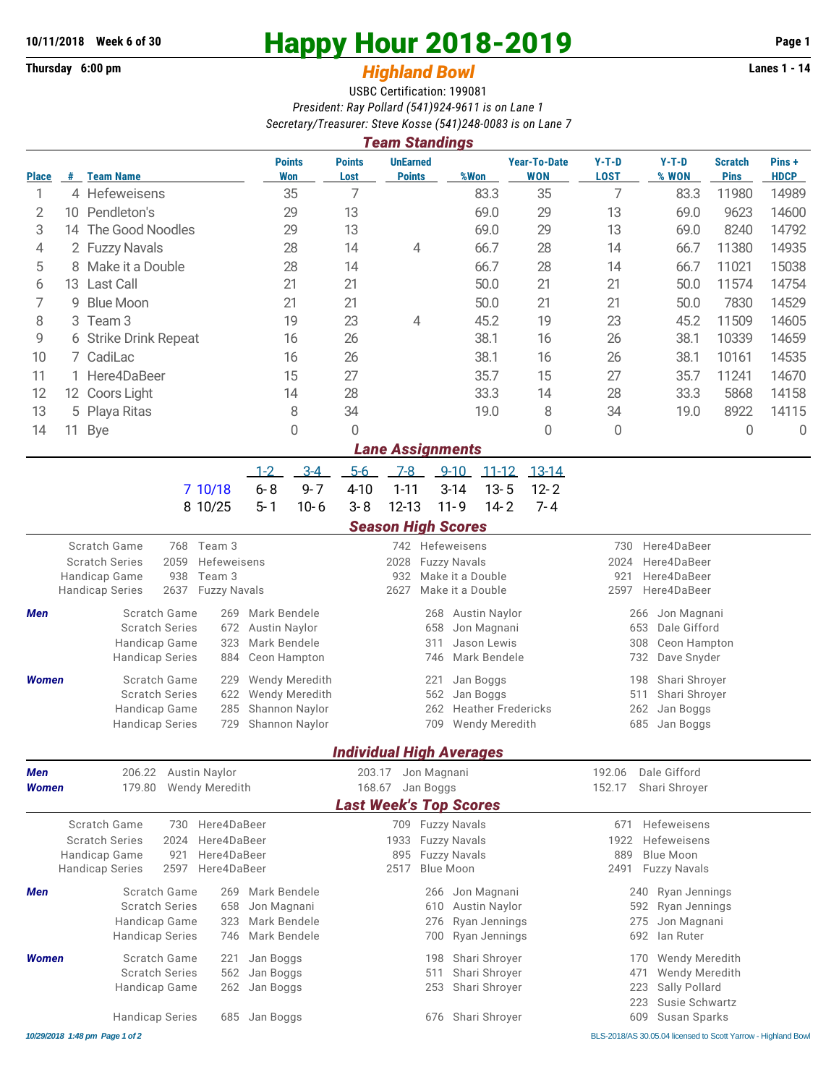**Thursday 6:00 pm** *Highland Bowl* 

## **10/11/2018** Week 6 of 30<br>
Thursday 6:00 pm<br> **Happy Hour 2018-2019 Page 1**<br> **Highland Rowl**

## USBC Certification: 199081 *President: Ray Pollard (541)924-9611 is on Lane 1 Secretary/Treasurer: Steve Kosse (541)248-0083 is on Lane 7*

|                                                                                         | <b>Team Standings</b>   |                                                                                     |                                               |                       |                                  |                                         |                                   |                                                        |                         |                               |                      |  |  |  |
|-----------------------------------------------------------------------------------------|-------------------------|-------------------------------------------------------------------------------------|-----------------------------------------------|-----------------------|----------------------------------|-----------------------------------------|-----------------------------------|--------------------------------------------------------|-------------------------|-------------------------------|----------------------|--|--|--|
| <b>Place</b>                                                                            | #                       | <b>Team Name</b>                                                                    | <b>Points</b><br>Won                          | <b>Points</b><br>Lost | <b>UnEarned</b><br><b>Points</b> | %Won                                    | <b>Year-To-Date</b><br><b>WON</b> | $Y-T-D$<br><b>LOST</b>                                 | $Y-T-D$<br>% WON        | <b>Scratch</b><br><b>Pins</b> | Pins+<br><b>HDCP</b> |  |  |  |
| 1                                                                                       |                         | 4 Hefeweisens                                                                       | 35                                            | 7                     |                                  | 83.3                                    | 35                                | 7                                                      | 83.3                    | 11980                         | 14989                |  |  |  |
| 2                                                                                       | 10                      | Pendleton's                                                                         | 29                                            |                       |                                  | 69.0                                    | 29                                | 13                                                     | 69.0                    | 9623                          | 14600                |  |  |  |
| 3                                                                                       |                         | 14 The Good Noodles                                                                 | 29                                            | 13                    |                                  | 69.0                                    | 29                                | 13                                                     | 69.0                    | 8240                          | 14792                |  |  |  |
| 4                                                                                       |                         | 2 Fuzzy Navals                                                                      | 28                                            |                       | 4                                | 66.7                                    | 28                                | 14                                                     | 66.7                    | 11380                         | 14935                |  |  |  |
| 5                                                                                       |                         | 8 Make it a Double                                                                  | 28                                            | 14                    |                                  | 66.7                                    | 28                                | 14                                                     | 66.7                    | 11021                         | 15038                |  |  |  |
| 6                                                                                       | 13                      | <b>Last Call</b>                                                                    | 21                                            | 21                    |                                  | 50.0                                    | 21                                | 21                                                     | 50.0                    | 11574                         | 14754                |  |  |  |
| 7                                                                                       | 9                       | <b>Blue Moon</b>                                                                    | 21                                            | 21                    |                                  | 50.0                                    | 21                                | 21                                                     | 50.0                    | 7830                          | 14529                |  |  |  |
| 8                                                                                       | Team <sub>3</sub><br>3  |                                                                                     | 19                                            | 23                    | 4                                | 45.2                                    | 19                                | 23                                                     | 45.2                    | 11509                         | 14605                |  |  |  |
| 9                                                                                       |                         | 6 Strike Drink Repeat                                                               | 16                                            | 26                    |                                  | 38.1                                    | 16                                | 26                                                     | 38.1                    | 10339                         | 14659                |  |  |  |
| 10                                                                                      |                         | 7 CadiLac<br>16                                                                     |                                               | 26                    |                                  | 38.1                                    | 16                                | 26                                                     | 38.1                    | 10161                         | 14535                |  |  |  |
| 11                                                                                      |                         | 1 Here4DaBeer<br>15                                                                 |                                               | 27                    |                                  | 35.7                                    | 15                                | 27                                                     | 35.7                    | 11241                         | 14670                |  |  |  |
| 12                                                                                      |                         | 12 Coors Light                                                                      | 14                                            |                       |                                  | 33.3                                    | 14                                | 28                                                     | 33.3                    | 5868                          | 14158                |  |  |  |
| 13                                                                                      |                         | 5 Playa Ritas                                                                       | 8                                             | 28<br>34              |                                  | 19.0                                    | 8                                 | 34                                                     | 19.0                    | 8922                          | 14115                |  |  |  |
| 14                                                                                      | 11                      | <b>Bye</b>                                                                          | 0                                             | 0                     |                                  |                                         | 0                                 | $\mathbf 0$                                            |                         | 0                             | $\mathbf 0$          |  |  |  |
|                                                                                         | <b>Lane Assignments</b> |                                                                                     |                                               |                       |                                  |                                         |                                   |                                                        |                         |                               |                      |  |  |  |
|                                                                                         |                         |                                                                                     | $3-4$<br>$1 - 2$                              | $5-6$                 | $7-8$                            | $9 - 10$<br>$11 - 12$                   | $13 - 14$                         |                                                        |                         |                               |                      |  |  |  |
|                                                                                         |                         | 7 10/18                                                                             | $6 - 8$<br>$9 - 7$                            | $4 - 10$              | $1 - 11$                         | $3 - 14$<br>$13 - 5$                    | $12 - 2$                          |                                                        |                         |                               |                      |  |  |  |
|                                                                                         |                         | 8 10/25                                                                             | $5 - 1$<br>$10 - 6$                           | $3 - 8$               | $12 - 13$                        | $11 - 9$<br>$14 - 2$                    | $7 - 4$                           |                                                        |                         |                               |                      |  |  |  |
|                                                                                         |                         |                                                                                     |                                               |                       | <b>Season High Scores</b>        |                                         |                                   |                                                        |                         |                               |                      |  |  |  |
| Scratch Game<br>Team 3<br>768                                                           |                         |                                                                                     |                                               |                       | 742 Hefeweisens                  |                                         |                                   | Here4DaBeer<br>730                                     |                         |                               |                      |  |  |  |
| 2059<br><b>Scratch Series</b><br>Hefeweisens                                            |                         |                                                                                     |                                               | 2028                  | <b>Fuzzy Navals</b>              |                                         | 2024<br>Here4DaBeer               |                                                        |                         |                               |                      |  |  |  |
| Handicap Game<br>938<br>Team 3<br>2637<br><b>Fuzzy Navals</b><br><b>Handicap Series</b> |                         |                                                                                     |                                               |                       | 932<br>2627                      | Make it a Double<br>Make it a Double    |                                   | Here4DaBeer<br>921<br>2597<br>Here4DaBeer              |                         |                               |                      |  |  |  |
|                                                                                         |                         |                                                                                     |                                               |                       |                                  |                                         |                                   |                                                        |                         |                               |                      |  |  |  |
| Men                                                                                     |                         | Scratch Game<br>269<br><b>Scratch Series</b><br>672                                 | Mark Bendele<br><b>Austin Naylor</b>          |                       | 268<br>658                       | <b>Austin Naylor</b><br>Jon Magnani     |                                   | Jon Magnani<br>266<br>653<br>Dale Gifford              |                         |                               |                      |  |  |  |
| Mark Bendele<br>Handicap Game<br>323                                                    |                         |                                                                                     |                                               |                       | 311                              | Jason Lewis                             |                                   | 308<br>Ceon Hampton                                    |                         |                               |                      |  |  |  |
|                                                                                         |                         | <b>Handicap Series</b><br>884                                                       | Ceon Hampton                                  |                       | 746                              | Mark Bendele                            |                                   | 732<br>Dave Snyder                                     |                         |                               |                      |  |  |  |
| Women                                                                                   |                         | Scratch Game<br>229                                                                 | Wendy Meredith                                |                       | 221                              | Jan Boggs                               | Shari Shroyer<br>198              |                                                        |                         |                               |                      |  |  |  |
|                                                                                         |                         | <b>Scratch Series</b><br>622                                                        | Wendy Meredith                                |                       | 562<br>Jan Boggs                 |                                         |                                   | 511<br>Shari Shroyer                                   |                         |                               |                      |  |  |  |
|                                                                                         |                         | 285<br>Handicap Game                                                                | Shannon Naylor                                |                       | 262                              | <b>Heather Fredericks</b>               |                                   | 262<br>Jan Boggs                                       |                         |                               |                      |  |  |  |
|                                                                                         |                         | <b>Handicap Series</b><br>729                                                       | Shannon Naylor                                |                       | 709                              | Wendy Meredith                          |                                   | 685<br>Jan Boggs                                       |                         |                               |                      |  |  |  |
|                                                                                         |                         |                                                                                     |                                               |                       | <b>Individual High Averages</b>  |                                         |                                   |                                                        |                         |                               |                      |  |  |  |
| 206.22<br>Austin Naylor<br>Men                                                          |                         |                                                                                     |                                               | 203.17                | Jon Magnani                      |                                         |                                   | 192.06<br>Dale Gifford                                 |                         |                               |                      |  |  |  |
| Women                                                                                   |                         | 179.80<br>Wendy Meredith                                                            |                                               |                       | Jan Boggs<br>168.67              |                                         |                                   |                                                        | 152.17<br>Shari Shroyer |                               |                      |  |  |  |
|                                                                                         |                         |                                                                                     |                                               |                       | <b>Last Week's Top Scores</b>    |                                         |                                   |                                                        |                         |                               |                      |  |  |  |
|                                                                                         |                         | Scratch Game<br>Here4DaBeer<br>730                                                  |                                               |                       | 709 Fuzzy Navals                 |                                         |                                   | 671                                                    | Hefeweisens             |                               |                      |  |  |  |
|                                                                                         |                         | Here4DaBeer<br><b>Scratch Series</b><br>2024                                        |                                               |                       | 1933                             | <b>Fuzzy Navals</b>                     |                                   | 1922<br>Hefeweisens                                    |                         |                               |                      |  |  |  |
| Here4DaBeer<br>Handicap Game<br>921<br><b>Handicap Series</b><br>2597<br>Here4DaBeer    |                         |                                                                                     |                                               |                       | 895<br>2517                      | <b>Fuzzy Navals</b><br><b>Blue Moon</b> |                                   | 889<br><b>Blue Moon</b><br>2491<br><b>Fuzzy Navals</b> |                         |                               |                      |  |  |  |
|                                                                                         |                         |                                                                                     |                                               |                       |                                  |                                         |                                   |                                                        |                         |                               |                      |  |  |  |
| Men                                                                                     |                         | Mark Bendele<br>Scratch Game<br>269                                                 |                                               |                       | 266                              | Jon Magnani                             |                                   | Ryan Jennings<br>240                                   |                         |                               |                      |  |  |  |
|                                                                                         |                         | <b>Scratch Series</b><br>Jon Magnani<br>658<br>Mark Bendele<br>Handicap Game<br>323 |                                               |                       | 610<br>276                       | Austin Naylor<br>Ryan Jennings          |                                   | Ryan Jennings<br>592<br>Jon Magnani<br>275             |                         |                               |                      |  |  |  |
|                                                                                         |                         | <b>Handicap Series</b><br>Mark Bendele<br>746                                       |                                               |                       | 700                              | Ryan Jennings                           |                                   | 692<br>lan Ruter                                       |                         |                               |                      |  |  |  |
|                                                                                         |                         |                                                                                     |                                               |                       | 198                              | Shari Shroyer                           |                                   |                                                        |                         |                               |                      |  |  |  |
| Women                                                                                   |                         | <b>Scratch Series</b><br>562                                                        | Scratch Game<br>Jan Boggs<br>221<br>Jan Boggs |                       |                                  |                                         |                                   | Wendy Meredith<br>170<br>Wendy Meredith<br>471         |                         |                               |                      |  |  |  |
|                                                                                         |                         | Handicap Game<br>262                                                                | Jan Boggs                                     |                       | 511<br>253                       | Shari Shroyer<br>Shari Shroyer          |                                   | 223<br>Sally Pollard                                   |                         |                               |                      |  |  |  |
|                                                                                         |                         |                                                                                     |                                               |                       |                                  |                                         |                                   | 223                                                    | Susie Schwartz          |                               |                      |  |  |  |
|                                                                                         |                         | <b>Handicap Series</b><br>685                                                       | Jan Boggs                                     |                       | 676                              | Shari Shroyer                           |                                   | 609                                                    | Susan Sparks            |                               |                      |  |  |  |

*10/29/2018 1:48 pm Page 1 of 2* BLS-2018/AS 30.05.04 licensed to Scott Yarrow - Highland Bowl